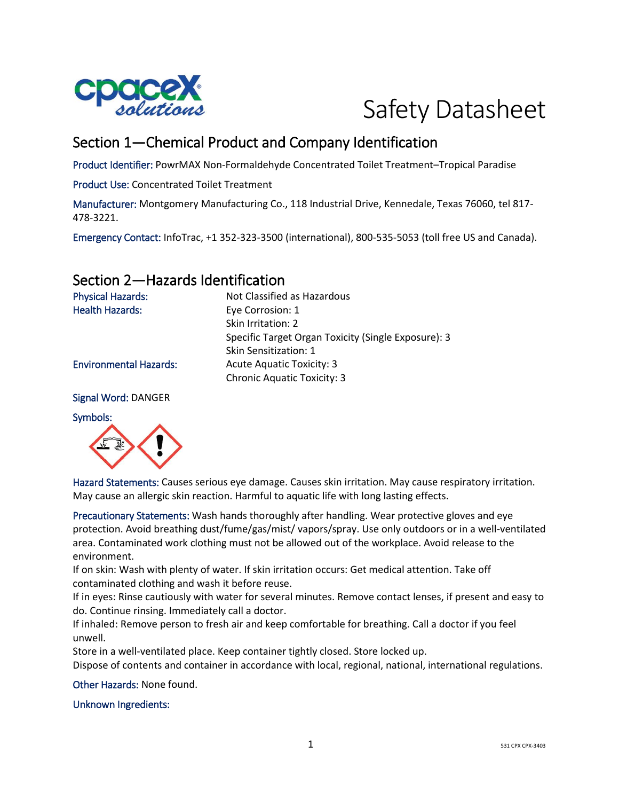

# Safety Datasheet

## Section 1—Chemical Product and Company Identification

Product Identifier: PowrMAX Non-Formaldehyde Concentrated Toilet Treatment–Tropical Paradise

Product Use: Concentrated Toilet Treatment

Manufacturer: Montgomery Manufacturing Co., 118 Industrial Drive, Kennedale, Texas 76060, tel 817- 478-3221.

Emergency Contact: InfoTrac, +1 352-323-3500 (international), 800-535-5053 (toll free US and Canada).

## Section 2—Hazards Identification

Physical Hazards: Not Classified as Hazardous Health Hazards: Eye Corrosion: 1 Skin Irritation: 2 Specific Target Organ Toxicity (Single Exposure): 3 Skin Sensitization: 1 Environmental Hazards: Acute Aquatic Toxicity: 3 Chronic Aquatic Toxicity: 3

Signal Word: DANGER

Symbols:



Hazard Statements: Causes serious eye damage. Causes skin irritation. May cause respiratory irritation. May cause an allergic skin reaction. Harmful to aquatic life with long lasting effects.

Precautionary Statements: Wash hands thoroughly after handling. Wear protective gloves and eye protection. Avoid breathing dust/fume/gas/mist/ vapors/spray. Use only outdoors or in a well-ventilated area. Contaminated work clothing must not be allowed out of the workplace. Avoid release to the environment.

If on skin: Wash with plenty of water. If skin irritation occurs: Get medical attention. Take off contaminated clothing and wash it before reuse.

If in eyes: Rinse cautiously with water for several minutes. Remove contact lenses, if present and easy to do. Continue rinsing. Immediately call a doctor.

If inhaled: Remove person to fresh air and keep comfortable for breathing. Call a doctor if you feel unwell.

Store in a well-ventilated place. Keep container tightly closed. Store locked up.

Dispose of contents and container in accordance with local, regional, national, international regulations.

Other Hazards: None found.

Unknown Ingredients: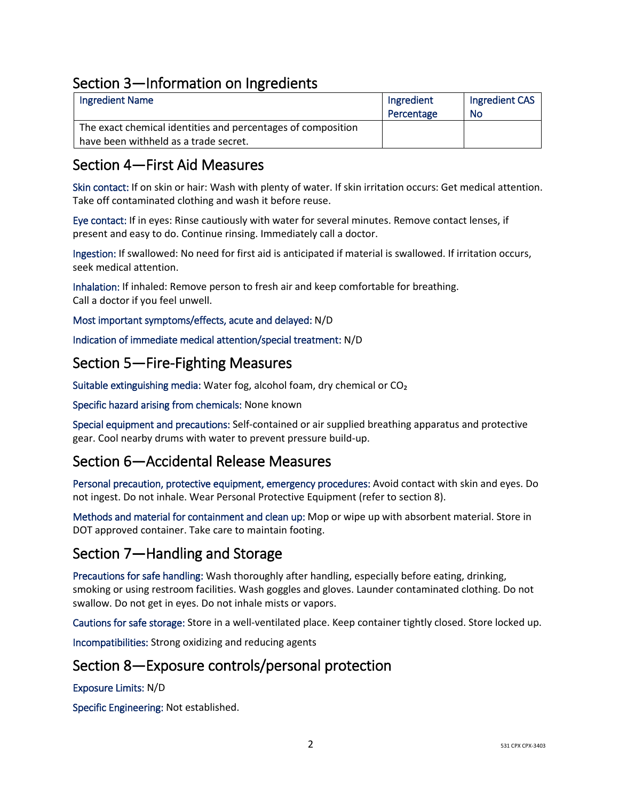## Section 3—Information on Ingredients

| <b>Ingredient Name</b>                                       | Ingredient | Ingredient CAS |
|--------------------------------------------------------------|------------|----------------|
|                                                              | Percentage | No             |
| The exact chemical identities and percentages of composition |            |                |
| have been withheld as a trade secret.                        |            |                |

## Section 4—First Aid Measures

Skin contact: If on skin or hair: Wash with plenty of water. If skin irritation occurs: Get medical attention. Take off contaminated clothing and wash it before reuse.

Eye contact: If in eyes: Rinse cautiously with water for several minutes. Remove contact lenses, if present and easy to do. Continue rinsing. Immediately call a doctor.

Ingestion: If swallowed: No need for first aid is anticipated if material is swallowed. If irritation occurs, seek medical attention.

Inhalation: If inhaled: Remove person to fresh air and keep comfortable for breathing. Call a doctor if you feel unwell.

Most important symptoms/effects, acute and delayed: N/D

Indication of immediate medical attention/special treatment: N/D

#### Section 5—Fire-Fighting Measures

Suitable extinguishing media: Water fog, alcohol foam, dry chemical or CO₂

Specific hazard arising from chemicals: None known

Special equipment and precautions: Self-contained or air supplied breathing apparatus and protective gear. Cool nearby drums with water to prevent pressure build-up.

#### Section 6—Accidental Release Measures

Personal precaution, protective equipment, emergency procedures: Avoid contact with skin and eyes. Do not ingest. Do not inhale. Wear Personal Protective Equipment (refer to section 8).

Methods and material for containment and clean up: Mop or wipe up with absorbent material. Store in DOT approved container. Take care to maintain footing.

## Section 7—Handling and Storage

Precautions for safe handling: Wash thoroughly after handling, especially before eating, drinking, smoking or using restroom facilities. Wash goggles and gloves. Launder contaminated clothing. Do not swallow. Do not get in eyes. Do not inhale mists or vapors.

Cautions for safe storage: Store in a well-ventilated place. Keep container tightly closed. Store locked up.

Incompatibilities: Strong oxidizing and reducing agents

#### Section 8—Exposure controls/personal protection

Exposure Limits: N/D

Specific Engineering: Not established.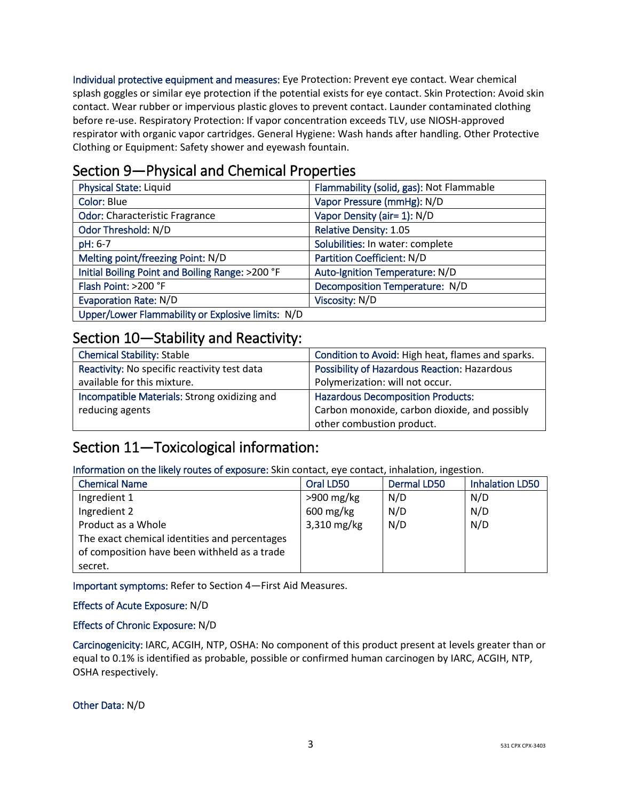Individual protective equipment and measures: Eye Protection: Prevent eye contact. Wear chemical splash goggles or similar eye protection if the potential exists for eye contact. Skin Protection: Avoid skin contact. Wear rubber or impervious plastic gloves to prevent contact. Launder contaminated clothing before re-use. Respiratory Protection: If vapor concentration exceeds TLV, use NIOSH-approved respirator with organic vapor cartridges. General Hygiene: Wash hands after handling. Other Protective Clothing or Equipment: Safety shower and eyewash fountain.

## Section 9—Physical and Chemical Properties

| <b>Physical State: Liquid</b>                     | Flammability (solid, gas): Not Flammable |
|---------------------------------------------------|------------------------------------------|
| Color: Blue                                       | Vapor Pressure (mmHg): N/D               |
| <b>Odor: Characteristic Fragrance</b>             | Vapor Density (air= 1): N/D              |
| Odor Threshold: N/D                               | <b>Relative Density: 1.05</b>            |
| pH: 6-7                                           | Solubilities: In water: complete         |
| Melting point/freezing Point: N/D                 | <b>Partition Coefficient: N/D</b>        |
| Initial Boiling Point and Boiling Range: >200 °F  | Auto-Ignition Temperature: N/D           |
| Flash Point: >200 °F                              | Decomposition Temperature: N/D           |
| <b>Evaporation Rate: N/D</b>                      | Viscosity: N/D                           |
| Upper/Lower Flammability or Explosive limits: N/D |                                          |

#### Section 10—Stability and Reactivity:

| <b>Chemical Stability: Stable</b>            | Condition to Avoid: High heat, flames and sparks. |
|----------------------------------------------|---------------------------------------------------|
| Reactivity: No specific reactivity test data | Possibility of Hazardous Reaction: Hazardous      |
| available for this mixture.                  | Polymerization: will not occur.                   |
| Incompatible Materials: Strong oxidizing and | <b>Hazardous Decomposition Products:</b>          |
| reducing agents                              | Carbon monoxide, carbon dioxide, and possibly     |
|                                              | other combustion product.                         |

## Section 11—Toxicological information:

Information on the likely routes of exposure: Skin contact, eye contact, inhalation, ingestion.

| <b>Chemical Name</b>                          | Oral LD50              | Dermal LD50 | <b>Inhalation LD50</b> |
|-----------------------------------------------|------------------------|-------------|------------------------|
| Ingredient 1                                  | $>900$ mg/kg           | N/D         | N/D                    |
| Ingredient 2                                  | $600 \,\mathrm{mg/kg}$ | N/D         | N/D                    |
| Product as a Whole                            | 3,310 mg/kg            | N/D         | N/D                    |
| The exact chemical identities and percentages |                        |             |                        |
| of composition have been withheld as a trade  |                        |             |                        |
| secret.                                       |                        |             |                        |

Important symptoms: Refer to Section 4—First Aid Measures.

Effects of Acute Exposure: N/D

#### Effects of Chronic Exposure: N/D

Carcinogenicity: IARC, ACGIH, NTP, OSHA: No component of this product present at levels greater than or equal to 0.1% is identified as probable, possible or confirmed human carcinogen by IARC, ACGIH, NTP, OSHA respectively.

Other Data: N/D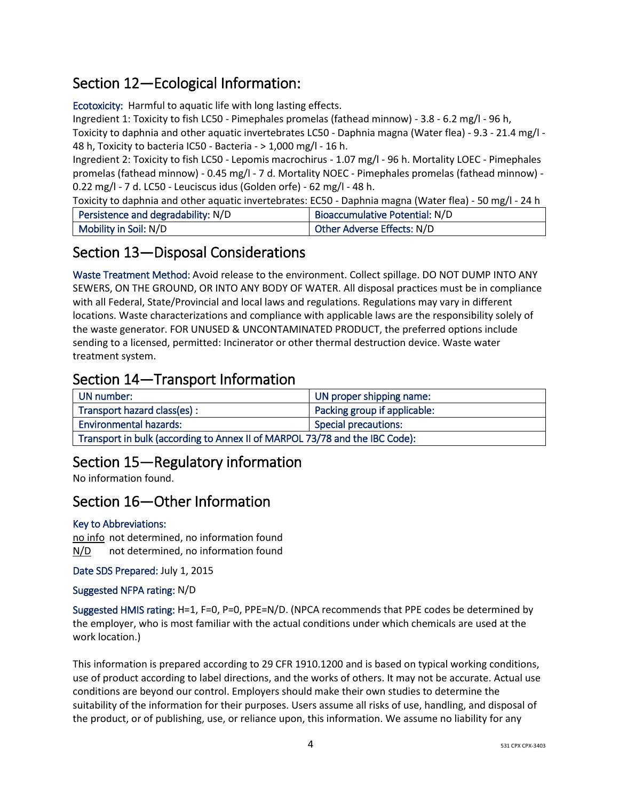## Section 12—Ecological Information:

Ecotoxicity: Harmful to aquatic life with long lasting effects.

Ingredient 1: Toxicity to fish LC50 - Pimephales promelas (fathead minnow) - 3.8 - 6.2 mg/l - 96 h,

Toxicity to daphnia and other aquatic invertebrates LC50 - Daphnia magna (Water flea) - 9.3 - 21.4 mg/l -48 h, Toxicity to bacteria IC50 - Bacteria - > 1,000 mg/l - 16 h.

Ingredient 2: Toxicity to fish LC50 - Lepomis macrochirus - 1.07 mg/l - 96 h. Mortality LOEC - Pimephales promelas (fathead minnow) - 0.45 mg/l - 7 d. Mortality NOEC - Pimephales promelas (fathead minnow) - 0.22 mg/l - 7 d. LC50 - Leuciscus idus (Golden orfe) - 62 mg/l - 48 h.

Toxicity to daphnia and other aquatic invertebrates: EC50 - Daphnia magna (Water flea) - 50 mg/l - 24 h

| Persistence and degradability: N/D | Bioaccumulative Potential: N/D |
|------------------------------------|--------------------------------|
| Mobility in Soil: N/D              | Other Adverse Effects: N/D     |

## Section 13—Disposal Considerations

Waste Treatment Method: Avoid release to the environment. Collect spillage. DO NOT DUMP INTO ANY SEWERS, ON THE GROUND, OR INTO ANY BODY OF WATER. All disposal practices must be in compliance with all Federal, State/Provincial and local laws and regulations. Regulations may vary in different locations. Waste characterizations and compliance with applicable laws are the responsibility solely of the waste generator. FOR UNUSED & UNCONTAMINATED PRODUCT, the preferred options include sending to a licensed, permitted: Incinerator or other thermal destruction device. Waste water treatment system.

## Section 14—Transport Information

| UN number:                                                                  | UN proper shipping name:     |  |
|-----------------------------------------------------------------------------|------------------------------|--|
| Transport hazard class(es) :                                                | Packing group if applicable: |  |
| <b>Environmental hazards:</b>                                               | Special precautions:         |  |
| Transport in bulk (according to Annex II of MARPOL 73/78 and the IBC Code): |                              |  |

# Section 15—Regulatory information

No information found.

## Section 16—Other Information

#### Key to Abbreviations:

no info not determined, no information found N/D not determined, no information found

Date SDS Prepared: July 1, 2015

Suggested NFPA rating: N/D

Suggested HMIS rating: H=1, F=0, P=0, PPE=N/D. (NPCA recommends that PPE codes be determined by the employer, who is most familiar with the actual conditions under which chemicals are used at the work location.)

This information is prepared according to 29 CFR 1910.1200 and is based on typical working conditions, use of product according to label directions, and the works of others. It may not be accurate. Actual use conditions are beyond our control. Employers should make their own studies to determine the suitability of the information for their purposes. Users assume all risks of use, handling, and disposal of the product, or of publishing, use, or reliance upon, this information. We assume no liability for any